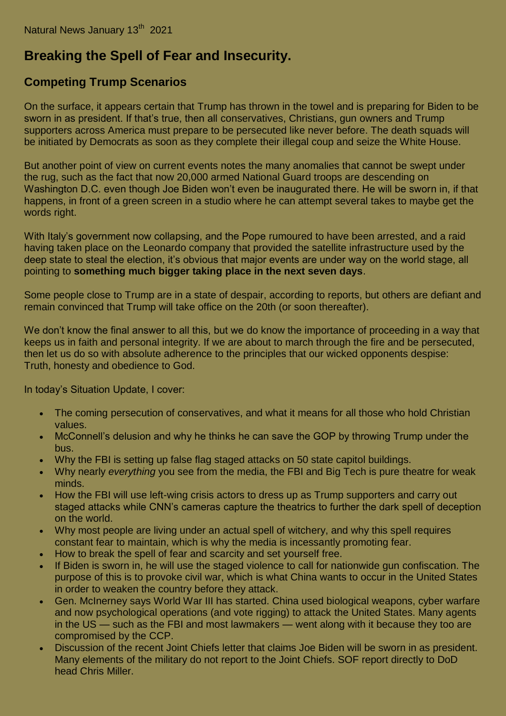## **Breaking the Spell of Fear and Insecurity.**

## **Competing Trump Scenarios**

On the surface, it appears certain that Trump has thrown in the towel and is preparing for Biden to be sworn in as president. If that's true, then all conservatives, Christians, gun owners and Trump supporters across America must prepare to be persecuted like never before. The death squads will be initiated by Democrats as soon as they complete their illegal coup and seize the White House.

But another point of view on current events notes the many anomalies that cannot be swept under the rug, such as the fact that now 20,000 armed National Guard troops are descending on Washington D.C. even though Joe Biden won't even be inaugurated there. He will be sworn in, if that happens, in front of a green screen in a studio where he can attempt several takes to maybe get the words right.

With Italy's government now collapsing, and the Pope rumoured to have been arrested, and a raid having taken place on the Leonardo company that provided the satellite infrastructure used by the deep state to steal the election, it's obvious that major events are under way on the world stage, all pointing to **something much bigger taking place in the next seven days**.

Some people close to Trump are in a state of despair, according to reports, but others are defiant and remain convinced that Trump will take office on the 20th (or soon thereafter).

We don't know the final answer to all this, but we do know the importance of proceeding in a way that keeps us in faith and personal integrity. If we are about to march through the fire and be persecuted, then let us do so with absolute adherence to the principles that our wicked opponents despise: Truth, honesty and obedience to God.

In today's Situation Update, I cover:

- The coming persecution of conservatives, and what it means for all those who hold Christian values.
- McConnell's delusion and why he thinks he can save the GOP by throwing Trump under the bus.
- Why the FBI is setting up false flag staged attacks on 50 state capitol buildings.
- Why nearly *everything* you see from the media, the FBI and Big Tech is pure theatre for weak minds.
- How the FBI will use left-wing crisis actors to dress up as Trump supporters and carry out staged attacks while CNN's cameras capture the theatrics to further the dark spell of deception on the world.
- Why most people are living under an actual spell of witchery, and why this spell requires constant fear to maintain, which is why the media is incessantly promoting fear.
- How to break the spell of fear and scarcity and set yourself free.
- If Biden is sworn in, he will use the staged violence to call for nationwide gun confiscation. The purpose of this is to provoke civil war, which is what China wants to occur in the United States in order to weaken the country before they attack.
- Gen. McInerney says World War III has started. China used biological weapons, cyber warfare and now psychological operations (and vote rigging) to attack the United States. Many agents in the US — such as the FBI and most lawmakers — went along with it because they too are compromised by the CCP.
- Discussion of the recent Joint Chiefs letter that claims Joe Biden will be sworn in as president. Many elements of the military do not report to the Joint Chiefs. SOF report directly to DoD head Chris Miller.